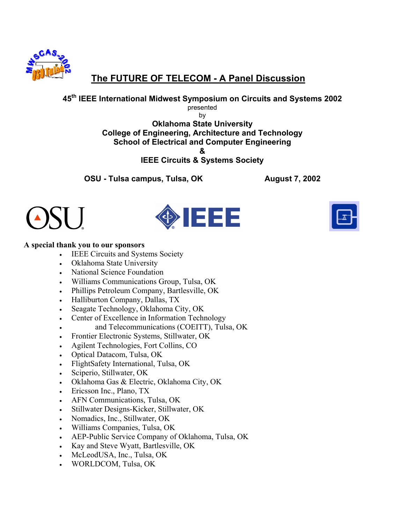

# **The FUTURE OF TELECOM - A Panel Discussion**

### **45th IEEE International Midwest Symposium on Circuits and Systems 2002**

presented

by **Oklahoma State University College of Engineering, Architecture and Technology School of Electrical and Computer Engineering &** 

**IEEE Circuits & Systems Society** 

**OSU - Tulsa campus, Tulsa, OK 68 August 7, 2002** 







### **A special thank you to our sponsors**

- IEEE Circuits and Systems Society
- Oklahoma State University
- National Science Foundation
- Williams Communications Group, Tulsa, OK
- Phillips Petroleum Company, Bartlesville, OK
- Halliburton Company, Dallas, TX
- Seagate Technology, Oklahoma City, OK
- Center of Excellence in Information Technology
- and Telecommunications (COEITT), Tulsa, OK
- Frontier Electronic Systems, Stillwater, OK
- Agilent Technologies, Fort Collins, CO
- Optical Datacom, Tulsa, OK
- FlightSafety International, Tulsa, OK
- Sciperio, Stillwater, OK
- Oklahoma Gas & Electric, Oklahoma City, OK
- Ericsson Inc., Plano, TX
- AFN Communications, Tulsa, OK
- Stillwater Designs-Kicker, Stillwater, OK
- Nomadics, Inc., Stillwater, OK
- Williams Companies, Tulsa, OK
- AEP-Public Service Company of Oklahoma, Tulsa, OK
- Kay and Steve Wyatt, Bartlesville, OK
- McLeodUSA, Inc., Tulsa, OK
- WORLDCOM, Tulsa, OK